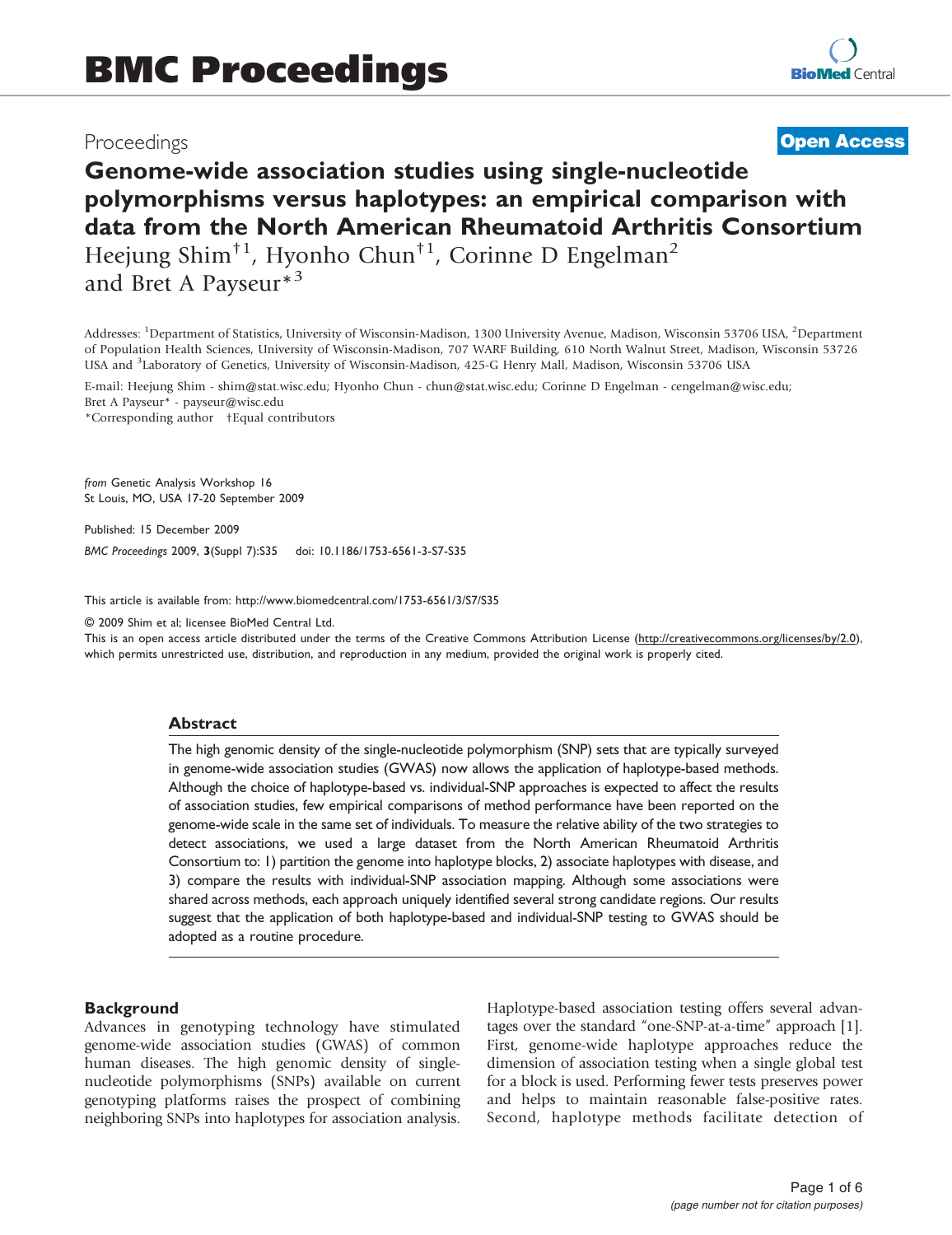## Proceedings

# **[Open Access](http://www.biomedcentral.com/info/about/charter/)**

# Genome-wide association studies using single-nucleotide polymorphisms versus haplotypes: an empirical comparison with data from the North American Rheumatoid Arthritis Consortium Heejung Shim<sup>†1</sup>, Hyonho Chun<sup>†1</sup>, Corinne D Engelman<sup>2</sup> and Bret A Payseur\*<sup>3</sup>

Addresses: <sup>1</sup>Department of Statistics, University of Wisconsin-Madison, 1300 University Avenue, Madison, Wisconsin 53706 USA, <sup>2</sup>Department of Population Health Sciences, University of Wisconsin-Madison, 707 WARF Building, 610 North Walnut Street, Madison, Wisconsin 53726 USA and <sup>3</sup>Laboratory of Genetics, University of Wisconsin-Madison, 425-G Henry Mall, Madison, Wisconsin 53706 USA

E-mail: Heejung Shim - [shim@stat.wisc.edu](mailto:shim@stat.wisc.edu); Hyonho Chun - [chun@stat.wisc.edu;](mailto:chun@stat.wisc.edu) Corinne D Engelman - [cengelman@wisc.edu;](mailto:cengelman@wisc.edu) Bret A Payseur\* - [payseur@wisc.edu](mailto:payseur@wisc.edu)

\*Corresponding author †Equal contributors

from Genetic Analysis Workshop 16 St Louis, MO, USA 17-20 September 2009

Published: 15 December 2009

BMC Proceedings 2009, 3(Suppl 7):S35 doi: 10.1186/1753-6561-3-S7-S35

This article is available from: http://www.biomedcentral.com/1753-6561/3/S7/S35

© 2009 Shim et al; licensee BioMed Central Ltd.

This is an open access article distributed under the terms of the Creative Commons Attribution License [\(http://creativecommons.org/licenses/by/2.0\)](http://creativecommons.org/licenses/by/2.0), which permits unrestricted use, distribution, and reproduction in any medium, provided the original work is properly cited.

#### Abstract

The high genomic density of the single-nucleotide polymorphism (SNP) sets that are typically surveyed in genome-wide association studies (GWAS) now allows the application of haplotype-based methods. Although the choice of haplotype-based vs. individual-SNP approaches is expected to affect the results of association studies, few empirical comparisons of method performance have been reported on the genome-wide scale in the same set of individuals. To measure the relative ability of the two strategies to detect associations, we used a large dataset from the North American Rheumatoid Arthritis Consortium to: 1) partition the genome into haplotype blocks, 2) associate haplotypes with disease, and 3) compare the results with individual-SNP association mapping. Although some associations were shared across methods, each approach uniquely identified several strong candidate regions. Our results suggest that the application of both haplotype-based and individual-SNP testing to GWAS should be adopted as a routine procedure.

## **Background**

Advances in genotyping technology have stimulated genome-wide association studies (GWAS) of common human diseases. The high genomic density of singlenucleotide polymorphisms (SNPs) available on current genotyping platforms raises the prospect of combining neighboring SNPs into haplotypes for association analysis.

Haplotype-based association testing offers several advantages over the standard "one-SNP-at-a-time" approach [\[1](#page-5-0)]. First, genome-wide haplotype approaches reduce the dimension of association testing when a single global test for a block is used. Performing fewer tests preserves power and helps to maintain reasonable false-positive rates. Second, haplotype methods facilitate detection of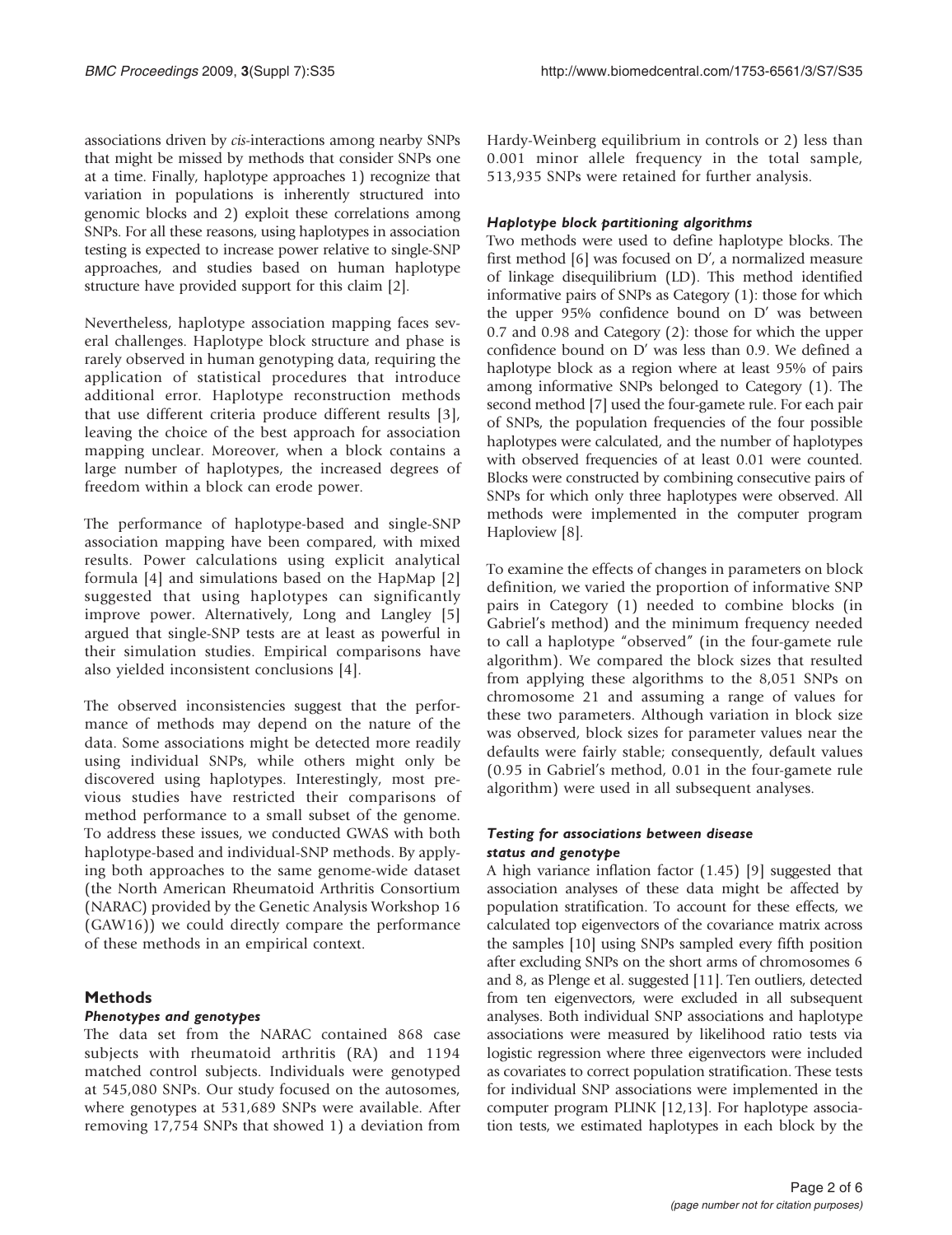associations driven by cis-interactions among nearby SNPs that might be missed by methods that consider SNPs one at a time. Finally, haplotype approaches 1) recognize that variation in populations is inherently structured into genomic blocks and 2) exploit these correlations among SNPs. For all these reasons, using haplotypes in association testing is expected to increase power relative to single-SNP approaches, and studies based on human haplotype structure have provided support for this claim [[2](#page-5-0)].

Nevertheless, haplotype association mapping faces several challenges. Haplotype block structure and phase is rarely observed in human genotyping data, requiring the application of statistical procedures that introduce additional error. Haplotype reconstruction methods that use different criteria produce different results [[3](#page-5-0)], leaving the choice of the best approach for association mapping unclear. Moreover, when a block contains a large number of haplotypes, the increased degrees of freedom within a block can erode power.

The performance of haplotype-based and single-SNP association mapping have been compared, with mixed results. Power calculations using explicit analytical formula [[4](#page-5-0)] and simulations based on the HapMap [\[2\]](#page-5-0) suggested that using haplotypes can significantly improve power. Alternatively, Long and Langley [\[5\]](#page-5-0) argued that single-SNP tests are at least as powerful in their simulation studies. Empirical comparisons have also yielded inconsistent conclusions [\[4\]](#page-5-0).

The observed inconsistencies suggest that the performance of methods may depend on the nature of the data. Some associations might be detected more readily using individual SNPs, while others might only be discovered using haplotypes. Interestingly, most previous studies have restricted their comparisons of method performance to a small subset of the genome. To address these issues, we conducted GWAS with both haplotype-based and individual-SNP methods. By applying both approaches to the same genome-wide dataset (the North American Rheumatoid Arthritis Consortium (NARAC) provided by the Genetic Analysis Workshop 16 (GAW16)) we could directly compare the performance of these methods in an empirical context.

## Methods

## Phenotypes and genotypes

The data set from the NARAC contained 868 case subjects with rheumatoid arthritis (RA) and 1194 matched control subjects. Individuals were genotyped at 545,080 SNPs. Our study focused on the autosomes, where genotypes at 531,689 SNPs were available. After removing 17,754 SNPs that showed 1) a deviation from

Hardy-Weinberg equilibrium in controls or 2) less than 0.001 minor allele frequency in the total sample, 513,935 SNPs were retained for further analysis.

## Haplotype block partitioning algorithms

Two methods were used to define haplotype blocks. The first method [\[6](#page-5-0)] was focused on D', a normalized measure of linkage disequilibrium (LD). This method identified informative pairs of SNPs as Category (1): those for which the upper 95% confidence bound on D' was between 0.7 and 0.98 and Category (2): those for which the upper confidence bound on D' was less than 0.9. We defined a haplotype block as a region where at least 95% of pairs among informative SNPs belonged to Category (1). The second method [[7](#page-5-0)] used the four-gamete rule. For each pair of SNPs, the population frequencies of the four possible haplotypes were calculated, and the number of haplotypes with observed frequencies of at least 0.01 were counted. Blocks were constructed by combining consecutive pairs of SNPs for which only three haplotypes were observed. All methods were implemented in the computer program Haploview [\[8](#page-5-0)].

To examine the effects of changes in parameters on block definition, we varied the proportion of informative SNP pairs in Category (1) needed to combine blocks (in Gabriel's method) and the minimum frequency needed to call a haplotype "observed" (in the four-gamete rule algorithm). We compared the block sizes that resulted from applying these algorithms to the 8,051 SNPs on chromosome 21 and assuming a range of values for these two parameters. Although variation in block size was observed, block sizes for parameter values near the defaults were fairly stable; consequently, default values (0.95 in Gabriel's method, 0.01 in the four-gamete rule algorithm) were used in all subsequent analyses.

## Testing for associations between disease status and genotype

A high variance inflation factor (1.45) [\[9\]](#page-5-0) suggested that association analyses of these data might be affected by population stratification. To account for these effects, we calculated top eigenvectors of the covariance matrix across the samples [\[10\]](#page-5-0) using SNPs sampled every fifth position after excluding SNPs on the short arms of chromosomes 6 and 8, as Plenge et al. suggested [[11](#page-5-0)]. Ten outliers, detected from ten eigenvectors, were excluded in all subsequent analyses. Both individual SNP associations and haplotype associations were measured by likelihood ratio tests via logistic regression where three eigenvectors were included as covariates to correct population stratification. These tests for individual SNP associations were implemented in the computer program PLINK [\[12,13\]](#page-5-0). For haplotype association tests, we estimated haplotypes in each block by the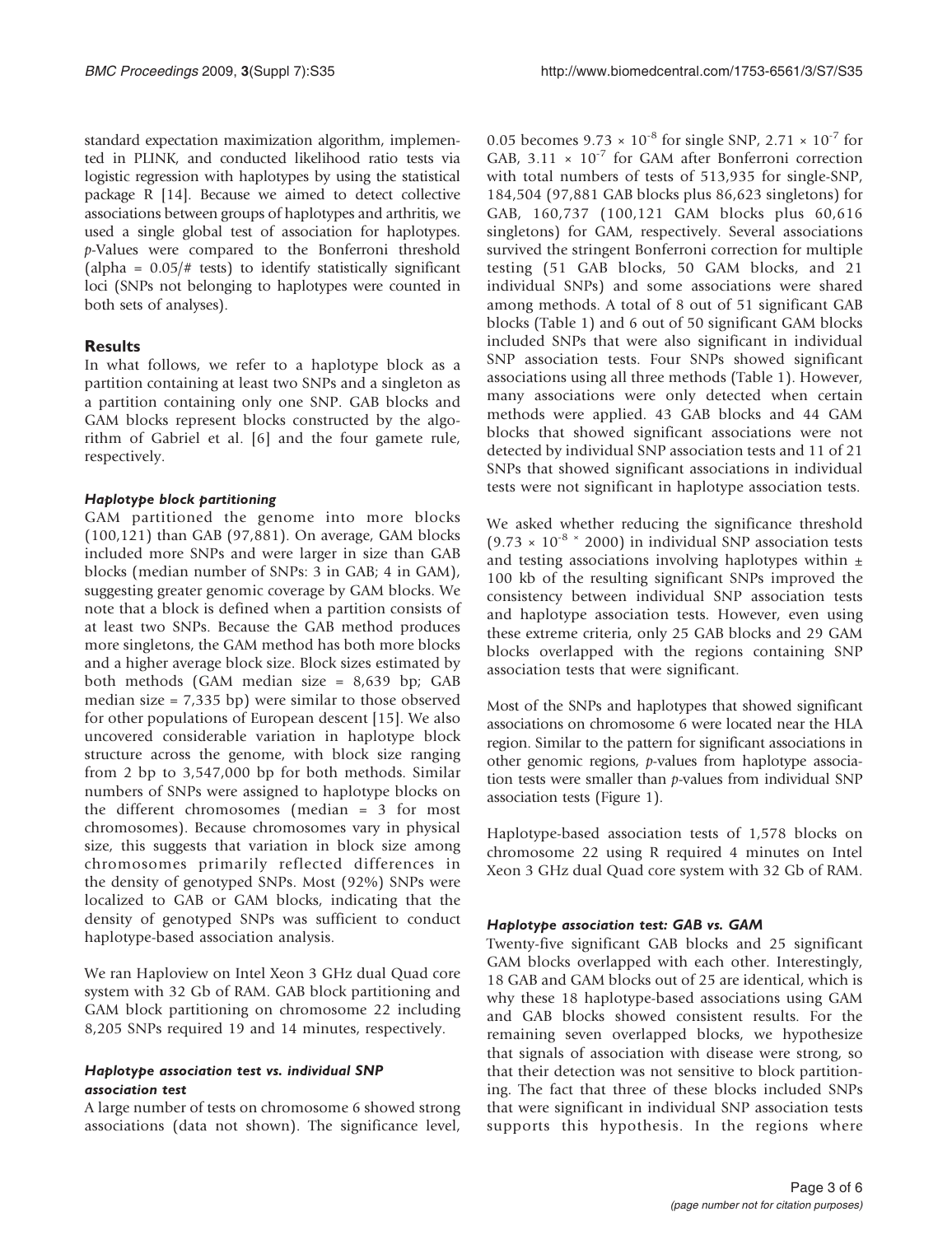standard expectation maximization algorithm, implemented in PLINK, and conducted likelihood ratio tests via logistic regression with haplotypes by using the statistical package R [[14](#page-5-0)]. Because we aimed to detect collective associations between groups of haplotypes and arthritis, we used a single global test of association for haplotypes. p-Values were compared to the Bonferroni threshold (alpha =  $0.05/\text{\#}$  tests) to identify statistically significant loci (SNPs not belonging to haplotypes were counted in both sets of analyses).

## **Results**

In what follows, we refer to a haplotype block as a partition containing at least two SNPs and a singleton as a partition containing only one SNP. GAB blocks and GAM blocks represent blocks constructed by the algorithm of Gabriel et al. [[6](#page-5-0)] and the four gamete rule, respectively.

## Haplotype block partitioning

GAM partitioned the genome into more blocks (100,121) than GAB (97,881). On average, GAM blocks included more SNPs and were larger in size than GAB blocks (median number of SNPs: 3 in GAB; 4 in GAM), suggesting greater genomic coverage by GAM blocks. We note that a block is defined when a partition consists of at least two SNPs. Because the GAB method produces more singletons, the GAM method has both more blocks and a higher average block size. Block sizes estimated by both methods (GAM median size = 8,639 bp; GAB median size = 7,335 bp) were similar to those observed for other populations of European descent [[15](#page-5-0)]. We also uncovered considerable variation in haplotype block structure across the genome, with block size ranging from 2 bp to 3,547,000 bp for both methods. Similar numbers of SNPs were assigned to haplotype blocks on the different chromosomes (median = 3 for most chromosomes). Because chromosomes vary in physical size, this suggests that variation in block size among chromosomes primarily reflected differences in the density of genotyped SNPs. Most (92%) SNPs were localized to GAB or GAM blocks, indicating that the density of genotyped SNPs was sufficient to conduct haplotype-based association analysis.

We ran Haploview on Intel Xeon 3 GHz dual Quad core system with 32 Gb of RAM. GAB block partitioning and GAM block partitioning on chromosome 22 including 8,205 SNPs required 19 and 14 minutes, respectively.

## Haplotype association test vs. individual SNP association test

A large number of tests on chromosome 6 showed strong associations (data not shown). The significance level,

0.05 becomes  $9.73 \times 10^{-8}$  for single SNP,  $2.71 \times 10^{-7}$  for GAB,  $3.11 \times 10^{-7}$  for GAM after Bonferroni correction with total numbers of tests of 513,935 for single-SNP, 184,504 (97,881 GAB blocks plus 86,623 singletons) for GAB, 160,737 (100,121 GAM blocks plus 60,616 singletons) for GAM, respectively. Several associations survived the stringent Bonferroni correction for multiple testing (51 GAB blocks, 50 GAM blocks, and 21 individual SNPs) and some associations were shared among methods. A total of 8 out of 51 significant GAB blocks [\(Table 1\)](#page-3-0) and 6 out of 50 significant GAM blocks included SNPs that were also significant in individual SNP association tests. Four SNPs showed significant associations using all three methods [\(Table 1\)](#page-3-0). However, many associations were only detected when certain methods were applied. 43 GAB blocks and 44 GAM blocks that showed significant associations were not detected by individual SNP association tests and 11 of 21 SNPs that showed significant associations in individual tests were not significant in haplotype association tests.

We asked whether reducing the significance threshold (9.73  $\times$  10<sup>-8</sup>  $\times$  2000) in individual SNP association tests and testing associations involving haplotypes within  $\pm$ 100 kb of the resulting significant SNPs improved the consistency between individual SNP association tests and haplotype association tests. However, even using these extreme criteria, only 25 GAB blocks and 29 GAM blocks overlapped with the regions containing SNP association tests that were significant.

Most of the SNPs and haplotypes that showed significant associations on chromosome 6 were located near the HLA region. Similar to the pattern for significant associations in other genomic regions, p-values from haplotype association tests were smaller than p-values from individual SNP association tests [\(Figure 1\)](#page-4-0).

Haplotype-based association tests of 1,578 blocks on chromosome 22 using R required 4 minutes on Intel Xeon 3 GHz dual Quad core system with 32 Gb of RAM.

## Haplotype association test: GAB vs. GAM

Twenty-five significant GAB blocks and 25 significant GAM blocks overlapped with each other. Interestingly, 18 GAB and GAM blocks out of 25 are identical, which is why these 18 haplotype-based associations using GAM and GAB blocks showed consistent results. For the remaining seven overlapped blocks, we hypothesize that signals of association with disease were strong, so that their detection was not sensitive to block partitioning. The fact that three of these blocks included SNPs that were significant in individual SNP association tests supports this hypothesis. In the regions where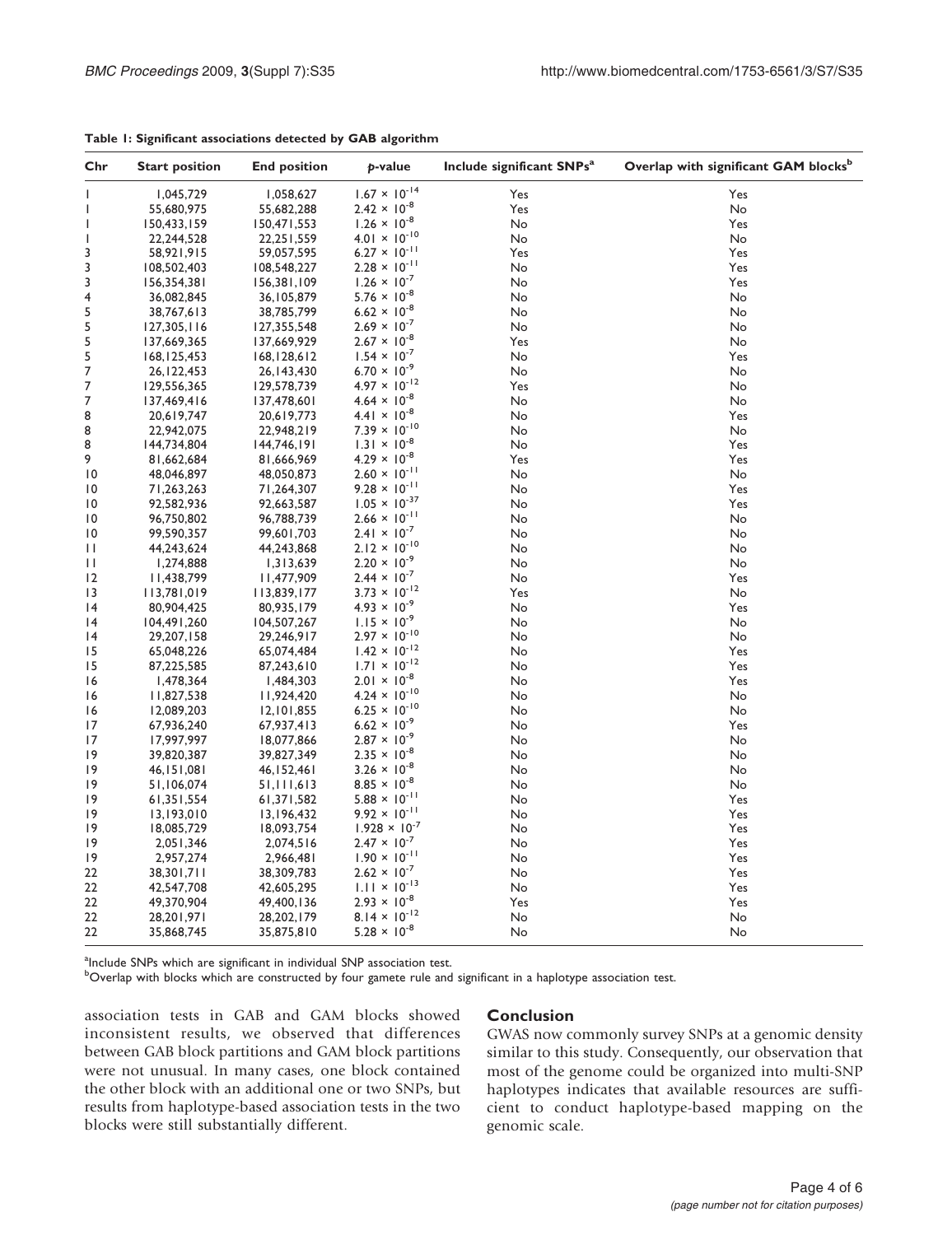| Chr             | <b>Start position</b> | <b>End position</b> | p-value                         | Include significant SNPs <sup>a</sup> | Overlap with significant GAM blocks <sup>b</sup> |
|-----------------|-----------------------|---------------------|---------------------------------|---------------------------------------|--------------------------------------------------|
| I               | 1,045,729             | 1,058,627           | $1.67 \times 10^{-14}$          | Yes                                   | Yes                                              |
| $\mathbf{I}$    | 55,680,975            | 55,682,288          | $2.42 \times 10^{-8}$           | Yes                                   | No                                               |
| T               | 150,433,159           | 150,471,553         | $1.26 \times 10^{-8}$           | No                                    | Yes                                              |
| T               | 22,244,528            | 22,251,559          | $4.01 \times 10^{-10}$          | No                                    | No                                               |
| 3               | 58,921,915            | 59,057,595          | $6.27 \times 10^{-11}$          | Yes                                   | Yes                                              |
| 3               | 108,502,403           | 108,548,227         | $2.28 \times 10^{-11}$          | No                                    | Yes                                              |
| 3               | 156,354,381           | 156,381,109         | $1.26 \times 10^{-7}$           | No                                    | Yes                                              |
| 4               | 36,082,845            | 36,105,879          | $5.76 \times 10^{-8}$           | No                                    | No                                               |
| 5               | 38,767,613            | 38,785,799          | $6.62 \times 10^{-8}$           | No                                    | No                                               |
| 5               | 127,305,116           | 127,355,548         | $2.69 \times 10^{-7}$           | No                                    | No                                               |
| 5               | 137,669,365           | 137,669,929         | $2.67 \times 10^{-8}$           | Yes                                   | No                                               |
| 5               | 168, 125, 453         | 168, 128, 612       | $1.54 \times 10^{-7}$           | No                                    | Yes                                              |
| 7               | 26, 122, 453          | 26, 143, 430        | $6.70 \times 10^{-9}$           | No                                    | No                                               |
| 7               | 129,556,365           | 129,578,739         | $4.97 \times 10^{-12}$          | Yes                                   | No                                               |
| 7               | 137,469,416           | 137,478,601         | $4.64 \times 10^{-8}$           | No                                    | No                                               |
| 8               | 20,619,747            | 20,619,773          | $4.41 \times 10^{-8}$           | No                                    | Yes                                              |
| 8               | 22,942,075            | 22,948,219          | $7.39 \times 10^{-10}$          | No                                    | No                                               |
| 8               |                       |                     | $1.31 \times 10^{-8}$           |                                       | Yes                                              |
| 9               | 144,734,804           | 144,746,191         | $4.29 \times 10^{-8}$           | No                                    |                                                  |
|                 | 81,662,684            | 81,666,969          | $2.60 \times 10^{-11}$          | Yes                                   | Yes                                              |
| $ 0\rangle$     | 48,046,897            | 48,050,873          |                                 | No                                    | No                                               |
| $\overline{10}$ | 71,263,263            | 71,264,307          | $9.28 \times 10^{-11}$          | No                                    | Yes                                              |
| 0               | 92,582,936            | 92,663,587          | $1.05 \times 10^{-37}$          | No                                    | Yes                                              |
| $ 0\rangle$     | 96,750,802            | 96,788,739          | $2.66 \times 10^{-11}$          | No                                    | No                                               |
| $\overline{10}$ | 99,590,357            | 99,601,703          | $2.41 \times 10^{-7}$           | No                                    | No                                               |
| $\vert \vert$   | 44,243,624            | 44,243,868          | $2.12 \times 10^{-10}$          | No                                    | No                                               |
| $\mathbf{H}$    | 1,274,888             | 1,313,639           | $2.20 \times 10^{-9}$           | No                                    | No                                               |
| 12              | 11,438,799            | 11,477,909          | $2.44 \times 10^{-7}$           | No                                    | Yes                                              |
| 13              | 113,781,019           | 113,839,177         | $3.73 \times 10^{-12}$          | Yes                                   | No                                               |
| 4               | 80,904,425            | 80,935,179          | $4.93 \times 10^{-9}$           | No                                    | Yes                                              |
| 4               | 104,491,260           | 104,507,267         | $1.15 \times 10^{-9}$           | No                                    | No                                               |
| 4               | 29,207,158            | 29,246,917          | $2.97 \times 10^{-10}$          | No                                    | No                                               |
| 15              | 65,048,226            | 65,074,484          | $1.42 \times 10^{-12}$          | No                                    | Yes                                              |
| 15              | 87,225,585            | 87,243,610          | $1.71 \times 10^{-12}$          | No                                    | Yes                                              |
| 16              | 1,478,364             | 1,484,303           | $2.01 \times 10^{-8}$           | No                                    | Yes                                              |
| 16              | 11,827,538            | 11,924,420          | $4.24 \times 10^{-10}$          | No                                    | No                                               |
| 16              | 12,089,203            | 12,101,855          | 6.25 $\times$ 10 <sup>-10</sup> | No                                    | No                                               |
| 17              | 67,936,240            | 67,937,413          | $6.62 \times 10^{-9}$           | No                                    | Yes                                              |
| 17              | 17,997,997            | 18,077,866          | $2.87 \times 10^{-9}$           | No                                    | No                                               |
| 19              | 39,820,387            | 39,827,349          | $2.35 \times 10^{-8}$           | No                                    | No                                               |
| 9               | 46,151,081            | 46,152,461          | $3.26 \times 10^{-8}$           | No                                    | No                                               |
| 19              | 51,106,074            | 51,111,613          | $8.85 \times 10^{-8}$           | No                                    | No                                               |
| 19              | 61,351,554            | 61,371,582          | $5.88 \times 10^{-11}$          | No                                    | Yes                                              |
| 9               | 13,193,010            | 13,196,432          | $9.92 \times 10^{-11}$          | No                                    | Yes                                              |
| 19              | 18,085,729            | 18,093,754          | $1.928 \times 10^{-7}$          | No                                    | Yes                                              |
| 19              | 2,051,346             | 2,074,516           | $2.47 \times 10^{-7}$           | No                                    | Yes                                              |
| 19              | 2,957,274             | 2,966,481           | $1.90 \times 10^{-11}$          | No                                    | Yes                                              |
| 22              | 38,301,711            | 38,309,783          | $2.62 \times 10^{-7}$           | No                                    | Yes                                              |
| 22              | 42,547,708            | 42,605,295          | $1.11 \times 10^{-13}$          | No                                    | Yes                                              |
| 22              | 49,370,904            | 49,400,136          | $2.93 \times 10^{-8}$           | Yes                                   | Yes                                              |
| 22              | 28,201,971            | 28,202,179          | $8.14 \times 10^{-12}$          | No                                    | No                                               |
| 22              | 35,868,745            | 35,875,810          | $5.28 \times 10^{-8}$           | No                                    | No                                               |

<span id="page-3-0"></span>Table 1: Significant associations detected by GAB algorithm

<sup>a</sup>Include SNPs which are significant in individual SNP association test.

 $^{\rm b}$ Overlap with blocks which are constructed by four gamete rule and significant in a haplotype association test.

association tests in GAB and GAM blocks showed inconsistent results, we observed that differences between GAB block partitions and GAM block partitions were not unusual. In many cases, one block contained the other block with an additional one or two SNPs, but results from haplotype-based association tests in the two blocks were still substantially different.

## Conclusion

GWAS now commonly survey SNPs at a genomic density similar to this study. Consequently, our observation that most of the genome could be organized into multi-SNP haplotypes indicates that available resources are sufficient to conduct haplotype-based mapping on the genomic scale.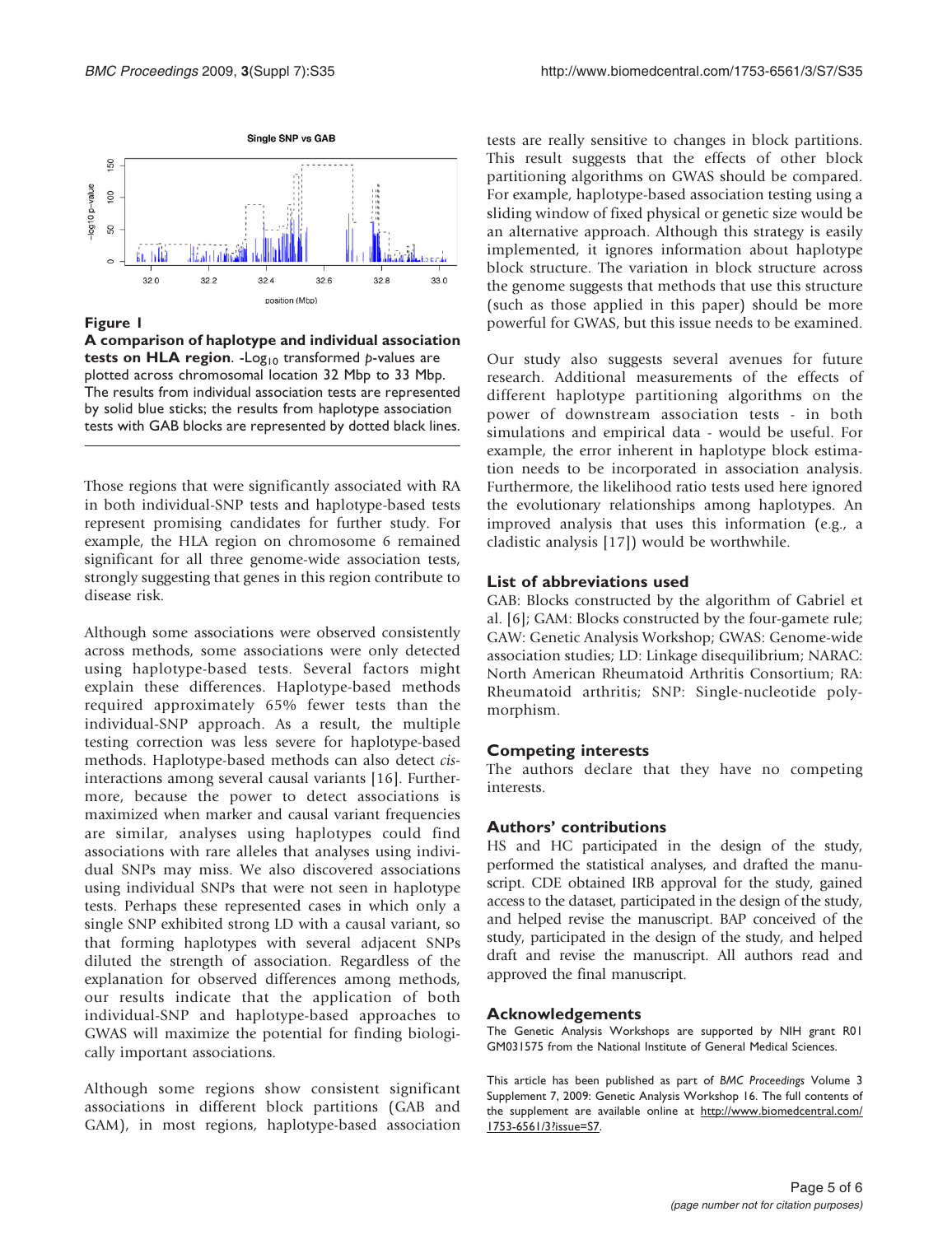<span id="page-4-0"></span>

## Figure 1

A comparison of haplotype and individual association tests on HLA region. - Log<sub>10</sub> transformed p-values are plotted across chromosomal location 32 Mbp to 33 Mbp. The results from individual association tests are represented by solid blue sticks; the results from haplotype association tests with GAB blocks are represented by dotted black lines.

Those regions that were significantly associated with RA in both individual-SNP tests and haplotype-based tests represent promising candidates for further study. For example, the HLA region on chromosome 6 remained significant for all three genome-wide association tests, strongly suggesting that genes in this region contribute to disease risk.

Although some associations were observed consistently across methods, some associations were only detected using haplotype-based tests. Several factors might explain these differences. Haplotype-based methods required approximately 65% fewer tests than the individual-SNP approach. As a result, the multiple testing correction was less severe for haplotype-based methods. Haplotype-based methods can also detect cisinteractions among several causal variants [\[16](#page-5-0)]. Furthermore, because the power to detect associations is maximized when marker and causal variant frequencies are similar, analyses using haplotypes could find associations with rare alleles that analyses using individual SNPs may miss. We also discovered associations using individual SNPs that were not seen in haplotype tests. Perhaps these represented cases in which only a single SNP exhibited strong LD with a causal variant, so that forming haplotypes with several adjacent SNPs diluted the strength of association. Regardless of the explanation for observed differences among methods, our results indicate that the application of both individual-SNP and haplotype-based approaches to GWAS will maximize the potential for finding biologically important associations.

Although some regions show consistent significant associations in different block partitions (GAB and GAM), in most regions, haplotype-based association tests are really sensitive to changes in block partitions. This result suggests that the effects of other block partitioning algorithms on GWAS should be compared. For example, haplotype-based association testing using a sliding window of fixed physical or genetic size would be an alternative approach. Although this strategy is easily implemented, it ignores information about haplotype block structure. The variation in block structure across the genome suggests that methods that use this structure (such as those applied in this paper) should be more powerful for GWAS, but this issue needs to be examined.

Our study also suggests several avenues for future research. Additional measurements of the effects of different haplotype partitioning algorithms on the power of downstream association tests - in both simulations and empirical data - would be useful. For example, the error inherent in haplotype block estimation needs to be incorporated in association analysis. Furthermore, the likelihood ratio tests used here ignored the evolutionary relationships among haplotypes. An improved analysis that uses this information (e.g., a cladistic analysis [[17\]](#page-5-0)) would be worthwhile.

## List of abbreviations used

GAB: Blocks constructed by the algorithm of Gabriel et al. [\[6\]](#page-5-0); GAM: Blocks constructed by the four-gamete rule; GAW: Genetic Analysis Workshop; GWAS: Genome-wide association studies; LD: Linkage disequilibrium; NARAC: North American Rheumatoid Arthritis Consortium; RA: Rheumatoid arthritis; SNP: Single-nucleotide polymorphism.

## Competing interests

The authors declare that they have no competing interests.

## Authors' contributions

HS and HC participated in the design of the study, performed the statistical analyses, and drafted the manuscript. CDE obtained IRB approval for the study, gained access to the dataset, participated in the design of the study, and helped revise the manuscript. BAP conceived of the study, participated in the design of the study, and helped draft and revise the manuscript. All authors read and approved the final manuscript.

#### Acknowledgements

The Genetic Analysis Workshops are supported by NIH grant R01 GM031575 from the National Institute of General Medical Sciences.

This article has been published as part of BMC Proceedings Volume 3 Supplement 7, 2009: Genetic Analysis Workshop 16. The full contents of the supplement are available online at [http://www.biomedcentral.com/](http://www.biomedcentral.com/1753-6561/3?issue=S7) [1753-6561/3?issue=S7](http://www.biomedcentral.com/1753-6561/3?issue=S7).